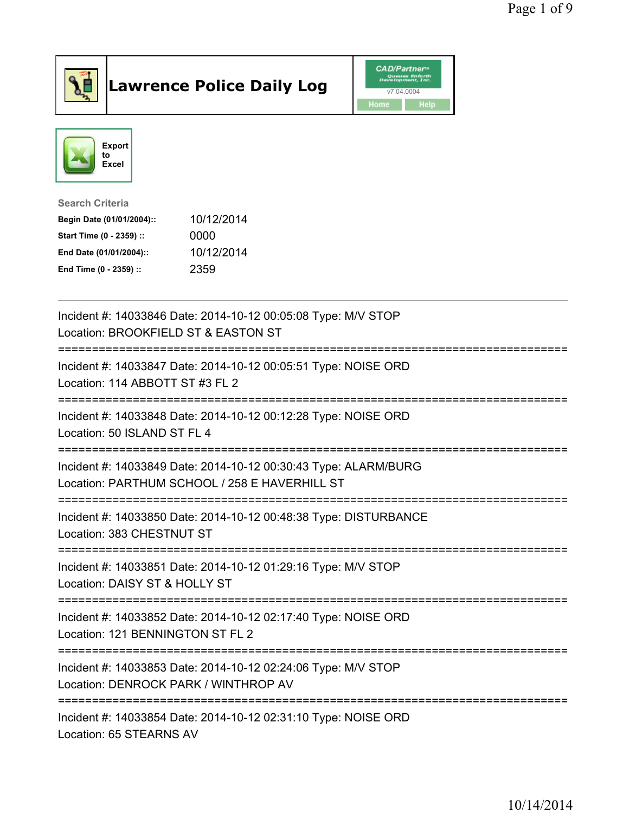

## Lawrence Police Daily Log **CAD/Partner**





Search Criteria Begin Date (01/01/2004):: 10/12/2014

Start Time (0 - 2359) :: 0000 End Date (01/01/2004):: 10/12/2014 End Time (0 - 2359) :: 2359

| Incident #: 14033846 Date: 2014-10-12 00:05:08 Type: M/V STOP<br>Location: BROOKFIELD ST & EASTON ST                                        |
|---------------------------------------------------------------------------------------------------------------------------------------------|
| Incident #: 14033847 Date: 2014-10-12 00:05:51 Type: NOISE ORD<br>Location: 114 ABBOTT ST #3 FL 2                                           |
| Incident #: 14033848 Date: 2014-10-12 00:12:28 Type: NOISE ORD<br>Location: 50 ISLAND ST FL 4<br>.-----------------------------------       |
| Incident #: 14033849 Date: 2014-10-12 00:30:43 Type: ALARM/BURG<br>Location: PARTHUM SCHOOL / 258 E HAVERHILL ST                            |
| Incident #: 14033850 Date: 2014-10-12 00:48:38 Type: DISTURBANCE<br>Location: 383 CHESTNUT ST                                               |
| Incident #: 14033851 Date: 2014-10-12 01:29:16 Type: M/V STOP<br>Location: DAISY ST & HOLLY ST                                              |
| Incident #: 14033852 Date: 2014-10-12 02:17:40 Type: NOISE ORD<br>Location: 121 BENNINGTON ST FL 2                                          |
| Incident #: 14033853 Date: 2014-10-12 02:24:06 Type: M/V STOP<br>Location: DENROCK PARK / WINTHROP AV<br>:================================= |
| Incident #: 14033854 Date: 2014-10-12 02:31:10 Type: NOISE ORD<br>Location: 65 STEARNS AV                                                   |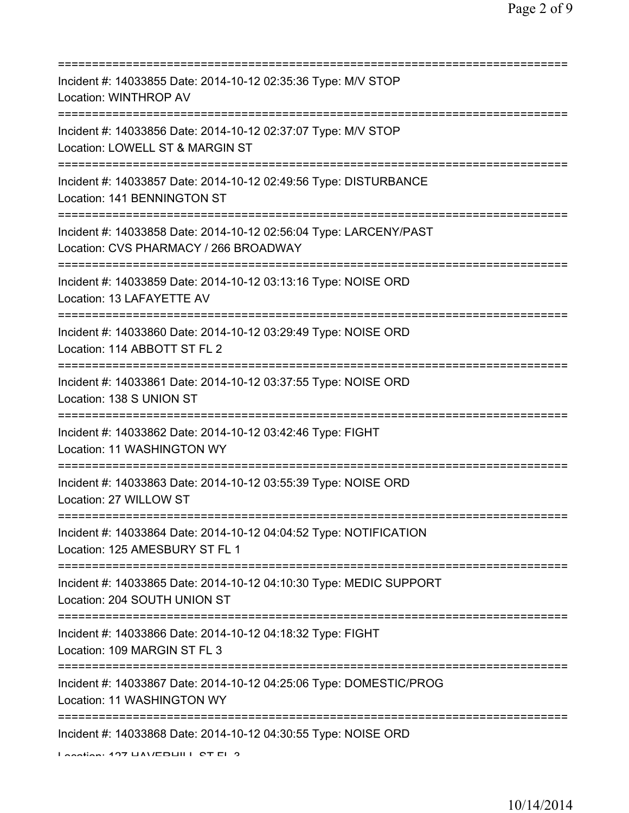| Incident #: 14033855 Date: 2014-10-12 02:35:36 Type: M/V STOP<br>Location: WINTHROP AV                                                        |
|-----------------------------------------------------------------------------------------------------------------------------------------------|
| Incident #: 14033856 Date: 2014-10-12 02:37:07 Type: M/V STOP<br>Location: LOWELL ST & MARGIN ST                                              |
| Incident #: 14033857 Date: 2014-10-12 02:49:56 Type: DISTURBANCE<br>Location: 141 BENNINGTON ST                                               |
| Incident #: 14033858 Date: 2014-10-12 02:56:04 Type: LARCENY/PAST<br>Location: CVS PHARMACY / 266 BROADWAY<br>=============================== |
| Incident #: 14033859 Date: 2014-10-12 03:13:16 Type: NOISE ORD<br>Location: 13 LAFAYETTE AV                                                   |
| Incident #: 14033860 Date: 2014-10-12 03:29:49 Type: NOISE ORD<br>Location: 114 ABBOTT ST FL 2                                                |
| Incident #: 14033861 Date: 2014-10-12 03:37:55 Type: NOISE ORD<br>Location: 138 S UNION ST<br>;==============================                 |
| Incident #: 14033862 Date: 2014-10-12 03:42:46 Type: FIGHT<br>Location: 11 WASHINGTON WY                                                      |
| Incident #: 14033863 Date: 2014-10-12 03:55:39 Type: NOISE ORD<br>Location: 27 WILLOW ST                                                      |
| Incident #: 14033864 Date: 2014-10-12 04:04:52 Type: NOTIFICATION<br>Location: 125 AMESBURY ST FL 1                                           |
| Incident #: 14033865 Date: 2014-10-12 04:10:30 Type: MEDIC SUPPORT<br>Location: 204 SOUTH UNION ST                                            |
| Incident #: 14033866 Date: 2014-10-12 04:18:32 Type: FIGHT<br>Location: 109 MARGIN ST FL 3                                                    |
| Incident #: 14033867 Date: 2014-10-12 04:25:06 Type: DOMESTIC/PROG<br>Location: 11 WASHINGTON WY                                              |
| Incident #: 14033868 Date: 2014-10-12 04:30:55 Type: NOISE ORD<br>Lootion: 497 LIAVEDLII L. OT EL 9                                           |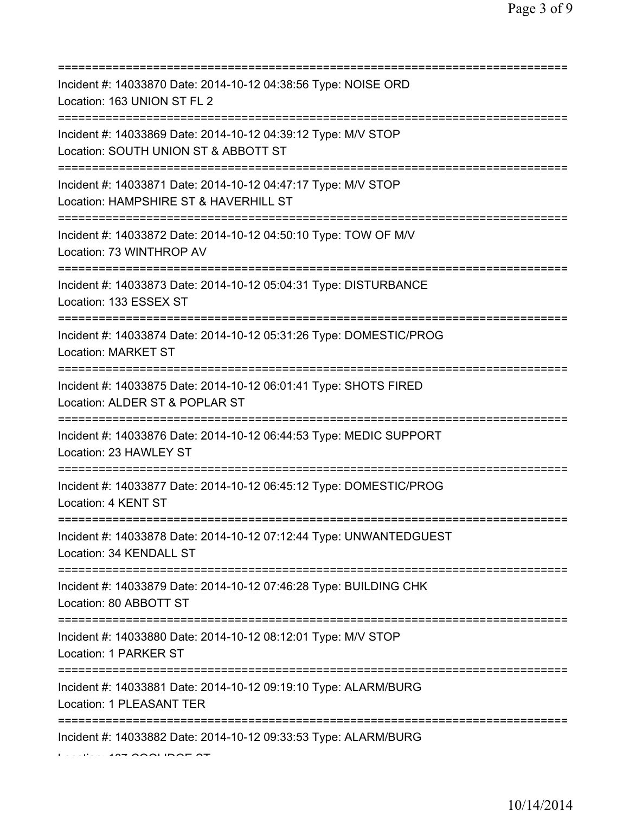| Incident #: 14033870 Date: 2014-10-12 04:38:56 Type: NOISE ORD<br>Location: 163 UNION ST FL 2                                                   |
|-------------------------------------------------------------------------------------------------------------------------------------------------|
| Incident #: 14033869 Date: 2014-10-12 04:39:12 Type: M/V STOP<br>Location: SOUTH UNION ST & ABBOTT ST<br>=========================              |
| Incident #: 14033871 Date: 2014-10-12 04:47:17 Type: M/V STOP<br>Location: HAMPSHIRE ST & HAVERHILL ST<br>===================================== |
| Incident #: 14033872 Date: 2014-10-12 04:50:10 Type: TOW OF M/V<br>Location: 73 WINTHROP AV<br>====================================             |
| Incident #: 14033873 Date: 2014-10-12 05:04:31 Type: DISTURBANCE<br>Location: 133 ESSEX ST                                                      |
| Incident #: 14033874 Date: 2014-10-12 05:31:26 Type: DOMESTIC/PROG<br><b>Location: MARKET ST</b>                                                |
| Incident #: 14033875 Date: 2014-10-12 06:01:41 Type: SHOTS FIRED<br>Location: ALDER ST & POPLAR ST                                              |
| =============<br>Incident #: 14033876 Date: 2014-10-12 06:44:53 Type: MEDIC SUPPORT<br>Location: 23 HAWLEY ST                                   |
| Incident #: 14033877 Date: 2014-10-12 06:45:12 Type: DOMESTIC/PROG<br>Location: 4 KENT ST                                                       |
| Incident #: 14033878 Date: 2014-10-12 07:12:44 Type: UNWANTEDGUEST<br>Location: 34 KENDALL ST                                                   |
| Incident #: 14033879 Date: 2014-10-12 07:46:28 Type: BUILDING CHK<br>Location: 80 ABBOTT ST                                                     |
| Incident #: 14033880 Date: 2014-10-12 08:12:01 Type: M/V STOP<br>Location: 1 PARKER ST                                                          |
| Incident #: 14033881 Date: 2014-10-12 09:19:10 Type: ALARM/BURG<br>Location: 1 PLEASANT TER                                                     |
| Incident #: 14033882 Date: 2014-10-12 09:33:53 Type: ALARM/BURG                                                                                 |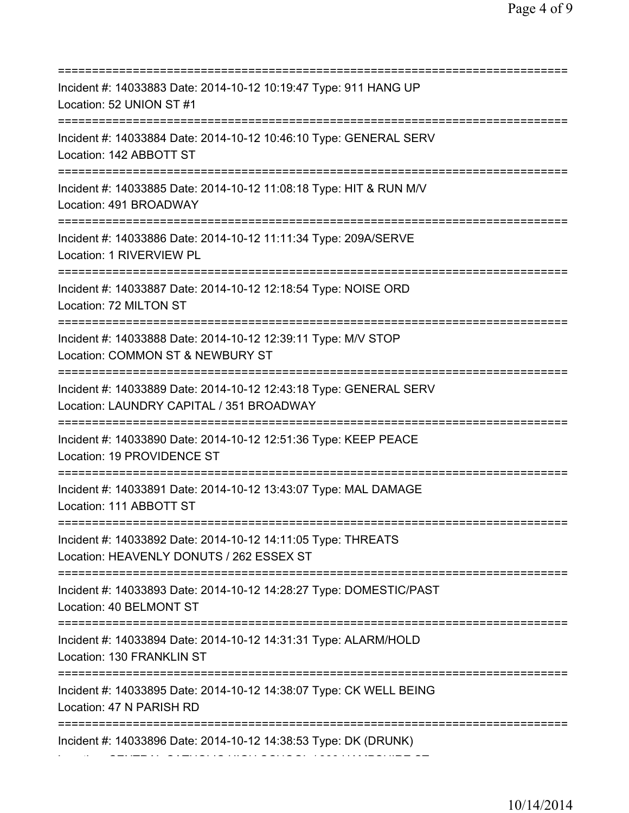=========================================================================== Incident #: 14033883 Date: 2014-10-12 10:19:47 Type: 911 HANG UP Location: 52 UNION ST #1 =========================================================================== Incident #: 14033884 Date: 2014-10-12 10:46:10 Type: GENERAL SERV Location: 142 ABBOTT ST =========================================================================== Incident #: 14033885 Date: 2014-10-12 11:08:18 Type: HIT & RUN M/V Location: 491 BROADWAY =========================================================================== Incident #: 14033886 Date: 2014-10-12 11:11:34 Type: 209A/SERVE Location: 1 RIVERVIEW PL =========================================================================== Incident #: 14033887 Date: 2014-10-12 12:18:54 Type: NOISE ORD Location: 72 MILTON ST =========================================================================== Incident #: 14033888 Date: 2014-10-12 12:39:11 Type: M/V STOP Location: COMMON ST & NEWBURY ST =========================================================================== Incident #: 14033889 Date: 2014-10-12 12:43:18 Type: GENERAL SERV Location: LAUNDRY CAPITAL / 351 BROADWAY =========================================================================== Incident #: 14033890 Date: 2014-10-12 12:51:36 Type: KEEP PEACE Location: 19 PROVIDENCE ST =========================================================================== Incident #: 14033891 Date: 2014-10-12 13:43:07 Type: MAL DAMAGE Location: 111 ABBOTT ST =========================================================================== Incident #: 14033892 Date: 2014-10-12 14:11:05 Type: THREATS Location: HEAVENLY DONUTS / 262 ESSEX ST =========================================================================== Incident #: 14033893 Date: 2014-10-12 14:28:27 Type: DOMESTIC/PAST Location: 40 BELMONT ST =========================================================================== Incident #: 14033894 Date: 2014-10-12 14:31:31 Type: ALARM/HOLD Location: 130 FRANKLIN ST =========================================================================== Incident #: 14033895 Date: 2014-10-12 14:38:07 Type: CK WELL BEING Location: 47 N PARISH RD =========================================================================== Incident #: 14033896 Date: 2014-10-12 14:38:53 Type: DK (DRUNK) Location: CENTRAL CATHOLIC HIGH SCHOOL / 300 HAMPSHIRE ST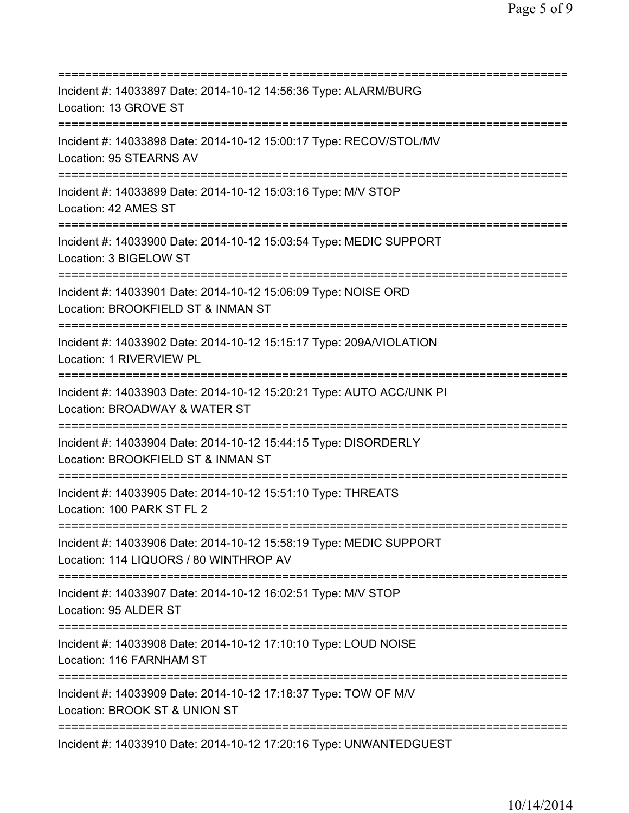| Incident #: 14033897 Date: 2014-10-12 14:56:36 Type: ALARM/BURG<br>Location: 13 GROVE ST                                                  |
|-------------------------------------------------------------------------------------------------------------------------------------------|
| Incident #: 14033898 Date: 2014-10-12 15:00:17 Type: RECOV/STOL/MV<br>Location: 95 STEARNS AV                                             |
| Incident #: 14033899 Date: 2014-10-12 15:03:16 Type: M/V STOP<br>Location: 42 AMES ST                                                     |
| ====================================<br>Incident #: 14033900 Date: 2014-10-12 15:03:54 Type: MEDIC SUPPORT<br>Location: 3 BIGELOW ST      |
| Incident #: 14033901 Date: 2014-10-12 15:06:09 Type: NOISE ORD<br>Location: BROOKFIELD ST & INMAN ST<br>================================= |
| Incident #: 14033902 Date: 2014-10-12 15:15:17 Type: 209A/VIOLATION<br>Location: 1 RIVERVIEW PL<br>.---------------------------------     |
| Incident #: 14033903 Date: 2014-10-12 15:20:21 Type: AUTO ACC/UNK PI<br>Location: BROADWAY & WATER ST                                     |
| Incident #: 14033904 Date: 2014-10-12 15:44:15 Type: DISORDERLY<br>Location: BROOKFIELD ST & INMAN ST                                     |
| Incident #: 14033905 Date: 2014-10-12 15:51:10 Type: THREATS<br>Location: 100 PARK ST FL 2                                                |
| Incident #: 14033906 Date: 2014-10-12 15:58:19 Type: MEDIC SUPPORT<br>Location: 114 LIQUORS / 80 WINTHROP AV                              |
| Incident #: 14033907 Date: 2014-10-12 16:02:51 Type: M/V STOP<br>Location: 95 ALDER ST                                                    |
| Incident #: 14033908 Date: 2014-10-12 17:10:10 Type: LOUD NOISE<br>Location: 116 FARNHAM ST                                               |
| Incident #: 14033909 Date: 2014-10-12 17:18:37 Type: TOW OF M/V<br>Location: BROOK ST & UNION ST                                          |
| Incident #: 14033910 Date: 2014-10-12 17:20:16 Type: UNWANTEDGUEST                                                                        |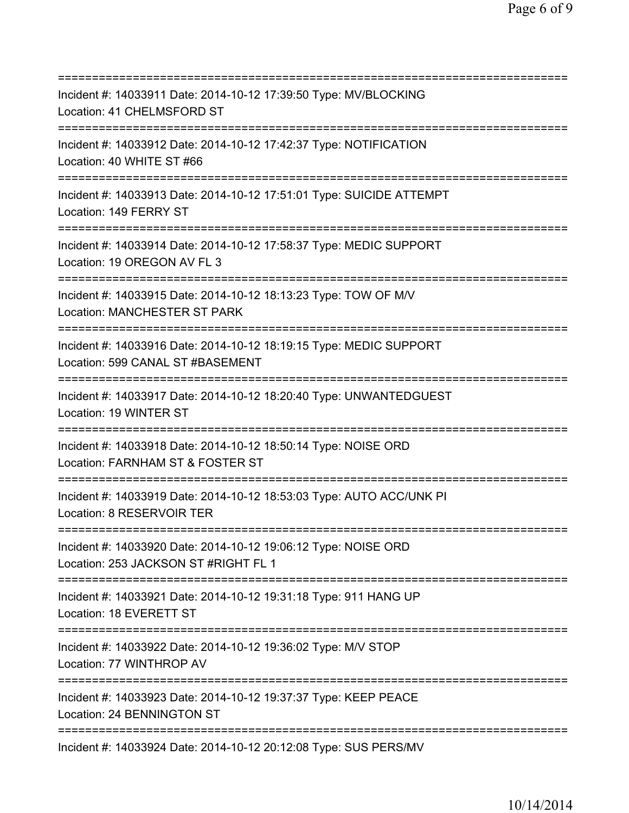=========================================================================== Incident #: 14033911 Date: 2014-10-12 17:39:50 Type: MV/BLOCKING Location: 41 CHELMSFORD ST =========================================================================== Incident #: 14033912 Date: 2014-10-12 17:42:37 Type: NOTIFICATION Location: 40 WHITE ST #66 =========================================================================== Incident #: 14033913 Date: 2014-10-12 17:51:01 Type: SUICIDE ATTEMPT Location: 149 FERRY ST =========================================================================== Incident #: 14033914 Date: 2014-10-12 17:58:37 Type: MEDIC SUPPORT Location: 19 OREGON AV FL 3 =========================================================================== Incident #: 14033915 Date: 2014-10-12 18:13:23 Type: TOW OF M/V Location: MANCHESTER ST PARK =========================================================================== Incident #: 14033916 Date: 2014-10-12 18:19:15 Type: MEDIC SUPPORT Location: 599 CANAL ST #BASEMENT =========================================================================== Incident #: 14033917 Date: 2014-10-12 18:20:40 Type: UNWANTEDGUEST Location: 19 WINTER ST =========================================================================== Incident #: 14033918 Date: 2014-10-12 18:50:14 Type: NOISE ORD Location: FARNHAM ST & FOSTER ST =========================================================================== Incident #: 14033919 Date: 2014-10-12 18:53:03 Type: AUTO ACC/UNK PI Location: 8 RESERVOIR TER =========================================================================== Incident #: 14033920 Date: 2014-10-12 19:06:12 Type: NOISE ORD Location: 253 JACKSON ST #RIGHT FL 1 =========================================================================== Incident #: 14033921 Date: 2014-10-12 19:31:18 Type: 911 HANG UP Location: 18 EVERETT ST =========================================================================== Incident #: 14033922 Date: 2014-10-12 19:36:02 Type: M/V STOP Location: 77 WINTHROP AV =========================================================================== Incident #: 14033923 Date: 2014-10-12 19:37:37 Type: KEEP PEACE Location: 24 BENNINGTON ST =========================================================================== Incident #: 14033924 Date: 2014-10-12 20:12:08 Type: SUS PERS/MV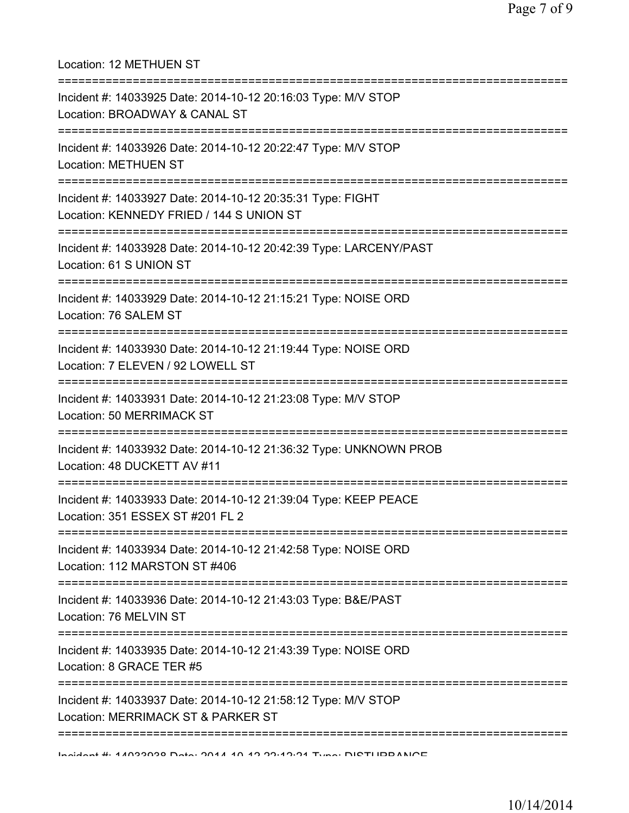| Location: 12 METHUEN ST                                                                                                              |
|--------------------------------------------------------------------------------------------------------------------------------------|
| Incident #: 14033925 Date: 2014-10-12 20:16:03 Type: M/V STOP<br>Location: BROADWAY & CANAL ST                                       |
| Incident #: 14033926 Date: 2014-10-12 20:22:47 Type: M/V STOP<br><b>Location: METHUEN ST</b><br>:=================================== |
| Incident #: 14033927 Date: 2014-10-12 20:35:31 Type: FIGHT<br>Location: KENNEDY FRIED / 144 S UNION ST                               |
| Incident #: 14033928 Date: 2014-10-12 20:42:39 Type: LARCENY/PAST<br>Location: 61 S UNION ST                                         |
| Incident #: 14033929 Date: 2014-10-12 21:15:21 Type: NOISE ORD<br>Location: 76 SALEM ST                                              |
| :======================<br>Incident #: 14033930 Date: 2014-10-12 21:19:44 Type: NOISE ORD<br>Location: 7 ELEVEN / 92 LOWELL ST       |
| Incident #: 14033931 Date: 2014-10-12 21:23:08 Type: M/V STOP<br><b>Location: 50 MERRIMACK ST</b>                                    |
| Incident #: 14033932 Date: 2014-10-12 21:36:32 Type: UNKNOWN PROB<br>Location: 48 DUCKETT AV #11                                     |
| Incident #: 14033933 Date: 2014-10-12 21:39:04 Type: KEEP PEACE<br>Location: 351 ESSEX ST #201 FL 2                                  |
| Incident #: 14033934 Date: 2014-10-12 21:42:58 Type: NOISE ORD<br>Location: 112 MARSTON ST #406                                      |
| ;====================================<br>Incident #: 14033936 Date: 2014-10-12 21:43:03 Type: B&E/PAST<br>Location: 76 MELVIN ST     |
| Incident #: 14033935 Date: 2014-10-12 21:43:39 Type: NOISE ORD<br>Location: 8 GRACE TER #5                                           |
| Incident #: 14033937 Date: 2014-10-12 21:58:12 Type: M/V STOP<br>Location: MERRIMACK ST & PARKER ST                                  |
| Individual 4. A ADOODD Data: ONA A AD AD OD ADD A Tumber DIRTH IDD ANIOF                                                             |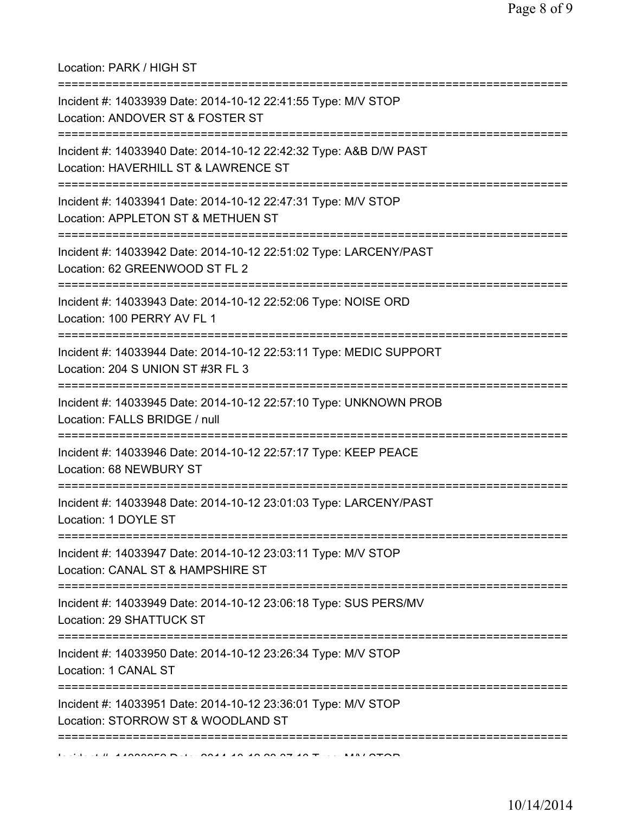## Location: PARK / HIGH ST

| Incident #: 14033939 Date: 2014-10-12 22:41:55 Type: M/V STOP<br>Location: ANDOVER ST & FOSTER ST                                     |
|---------------------------------------------------------------------------------------------------------------------------------------|
| :=======================<br>Incident #: 14033940 Date: 2014-10-12 22:42:32 Type: A&B D/W PAST<br>Location: HAVERHILL ST & LAWRENCE ST |
| Incident #: 14033941 Date: 2014-10-12 22:47:31 Type: M/V STOP<br>Location: APPLETON ST & METHUEN ST                                   |
| Incident #: 14033942 Date: 2014-10-12 22:51:02 Type: LARCENY/PAST<br>Location: 62 GREENWOOD ST FL 2<br>-------------------------      |
| Incident #: 14033943 Date: 2014-10-12 22:52:06 Type: NOISE ORD<br>Location: 100 PERRY AV FL 1                                         |
| Incident #: 14033944 Date: 2014-10-12 22:53:11 Type: MEDIC SUPPORT<br>Location: 204 S UNION ST #3R FL 3                               |
| Incident #: 14033945 Date: 2014-10-12 22:57:10 Type: UNKNOWN PROB<br>Location: FALLS BRIDGE / null                                    |
| Incident #: 14033946 Date: 2014-10-12 22:57:17 Type: KEEP PEACE<br>Location: 68 NEWBURY ST                                            |
| Incident #: 14033948 Date: 2014-10-12 23:01:03 Type: LARCENY/PAST<br>Location: 1 DOYLE ST                                             |
| Incident #: 14033947 Date: 2014-10-12 23:03:11 Type: M/V STOP<br>Location: CANAL ST & HAMPSHIRE ST                                    |
| :=============================<br>Incident #: 14033949 Date: 2014-10-12 23:06:18 Type: SUS PERS/MV<br>Location: 29 SHATTUCK ST        |
| Incident #: 14033950 Date: 2014-10-12 23:26:34 Type: M/V STOP<br>Location: 1 CANAL ST                                                 |
| Incident #: 14033951 Date: 2014-10-12 23:36:01 Type: M/V STOP<br>Location: STORROW ST & WOODLAND ST                                   |
|                                                                                                                                       |